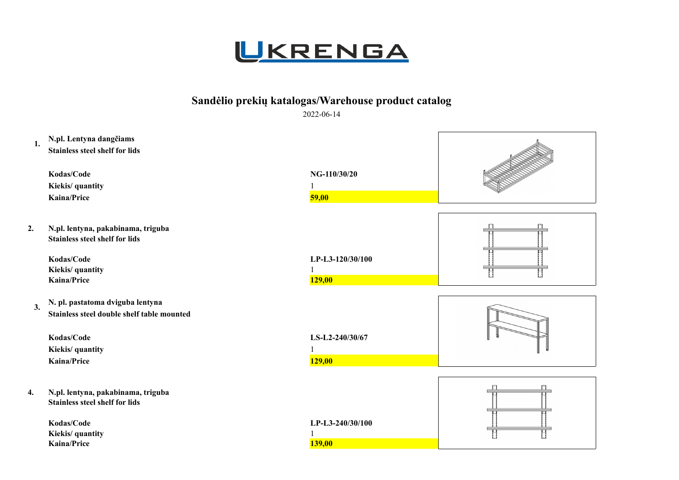

## **Sandėlio prekių katalogas/Warehouse product catalog**

2022-06-14

| N.pl. Lentyna dangčiams<br>1.<br><b>Stainless steel shelf for lids</b><br>Kodas/Code | NG-110/30/20     |  |
|--------------------------------------------------------------------------------------|------------------|--|
|                                                                                      |                  |  |
| Kiekis/ quantity                                                                     |                  |  |
| <b>Kaina/Price</b>                                                                   | 59,00            |  |
| 2.<br>N.pl. lentyna, pakabinama, triguba<br><b>Stainless steel shelf for lids</b>    |                  |  |
| Kodas/Code                                                                           | LP-L3-120/30/100 |  |
| Kiekis/ quantity                                                                     |                  |  |
| <b>Kaina/Price</b>                                                                   | <b>129,00</b>    |  |
| N. pl. pastatoma dviguba lentyna                                                     |                  |  |
| 3.<br>Stainless steel double shelf table mounted                                     |                  |  |
|                                                                                      |                  |  |
| Kodas/Code                                                                           | LS-L2-240/30/67  |  |
| Kiekis/ quantity                                                                     |                  |  |
| <b>Kaina/Price</b>                                                                   | <b>129,00</b>    |  |
|                                                                                      |                  |  |
| N.pl. lentyna, pakabinama, triguba<br>4.<br><b>Stainless steel shelf for lids</b>    |                  |  |
| Kodas/Code                                                                           | LP-L3-240/30/100 |  |
| Kiekis/ quantity                                                                     |                  |  |
| <b>Kaina/Price</b>                                                                   | <b>139,00</b>    |  |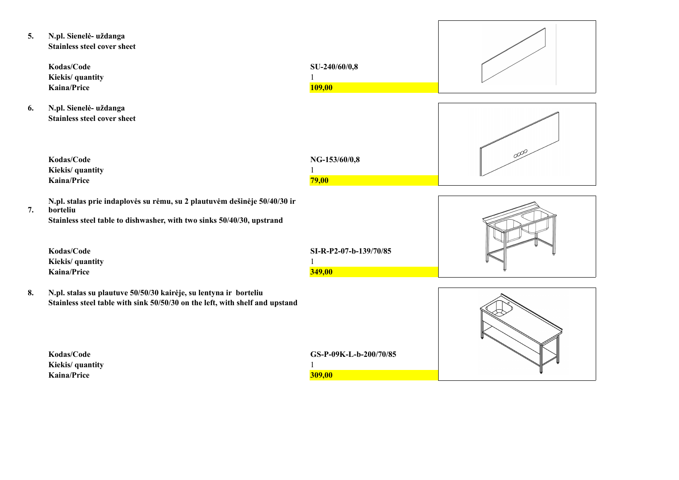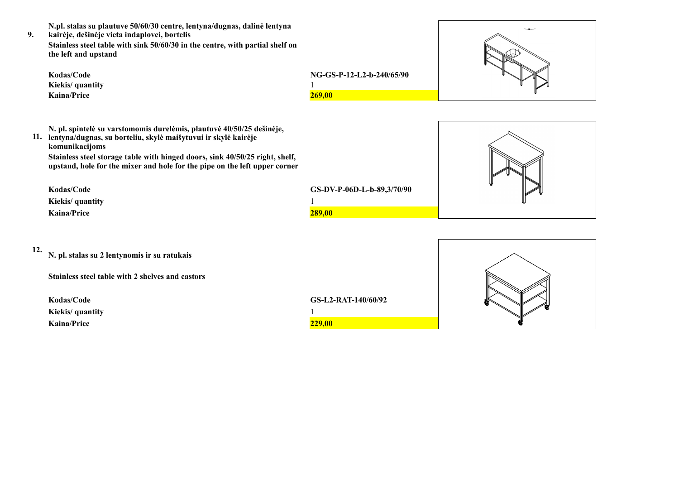**N.pl. stalas su plautuve 50/60/30 centre, lentyna/dugnas, dalinė lentyna** 

**9. kairėje, dešinėje vieta indaplovei, bortelis Stainless steel table with sink 50/60/30 in the centre, with partial shelf on the left and upstand**

| Kodas/Code<br>Kiekis/ quantity<br>Kaina/Price                                                                                                                                                                                                                                                                                                                                | NG-GS-P-12-L2-b-240/65/90<br>269,00         |  |
|------------------------------------------------------------------------------------------------------------------------------------------------------------------------------------------------------------------------------------------------------------------------------------------------------------------------------------------------------------------------------|---------------------------------------------|--|
| N. pl. spintelė su varstomomis durelėmis, plautuvė 40/50/25 dešinėje,<br>11. lentyna/dugnas, su borteliu, skylė maišytuvui ir skylė kairėje<br>komunikacijoms<br>Stainless steel storage table with hinged doors, sink 40/50/25 right, shelf,<br>upstand, hole for the mixer and hole for the pipe on the left upper corner<br>Kodas/Code<br>Kiekis/ quantity<br>Kaina/Price | GS-DV-P-06D-L-b-89,3/70/90<br><b>289,00</b> |  |

|  | v       |  |
|--|---------|--|
|  | ٠<br>۰, |  |
|  |         |  |

| 12. |  |  |  | N. pl. stalas su 2 lentynomis ir su ratukais |  |
|-----|--|--|--|----------------------------------------------|--|
|     |  |  |  |                                              |  |

**Kiekis/ quantity** 1 **Kaina/Price** 229,00



 $\overline{\phantom{a}}$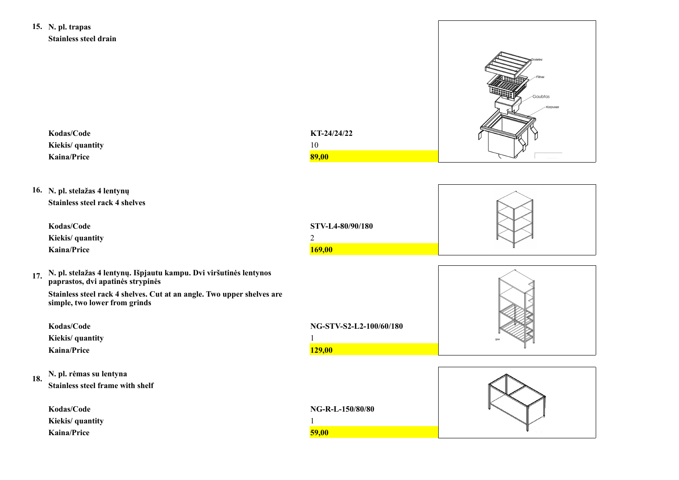**15. N. pl. trapas Stainless steel drain**

|     | <b>Stainless steel drain</b>                                                                            |                            |                     |
|-----|---------------------------------------------------------------------------------------------------------|----------------------------|---------------------|
|     | Kodas/Code<br>Kiekis/ quantity<br><b>Kaina/Price</b>                                                    | KT-24/24/22<br>10<br>89,00 | Gaubtas<br>Korpusa. |
|     |                                                                                                         |                            |                     |
|     | 16. N. pl. stelažas 4 lentynų<br><b>Stainless steel rack 4 shelves</b>                                  |                            |                     |
|     | Kodas/Code                                                                                              | STV-L4-80/90/180           |                     |
|     | Kiekis/ quantity                                                                                        | $\sqrt{2}$                 |                     |
|     | <b>Kaina/Price</b>                                                                                      | <b>169,00</b>              |                     |
| 17. | N. pl. stelažas 4 lentynų. Išpjautu kampu. Dvi viršutinės lentynos<br>paprastos, dvi apatinės strypinės |                            |                     |
|     | Stainless steel rack 4 shelves. Cut at an angle. Two upper shelves are<br>simple, two lower from grinds |                            |                     |
|     | Kodas/Code                                                                                              | NG-STV-S2-L2-100/60/180    |                     |
|     | Kiekis/ quantity                                                                                        |                            |                     |
|     | <b>Kaina/Price</b>                                                                                      | <b>129,00</b>              |                     |
|     | N. pl. rėmas su lentyna                                                                                 |                            |                     |
| 18. | Stainless steel frame with shelf                                                                        |                            |                     |
|     |                                                                                                         |                            |                     |
|     | Kodas/Code<br>Kiekis/ quantity                                                                          | NG-R-L-150/80/80           |                     |
|     | Kaina/Price                                                                                             | 59,00                      |                     |
|     |                                                                                                         |                            |                     |

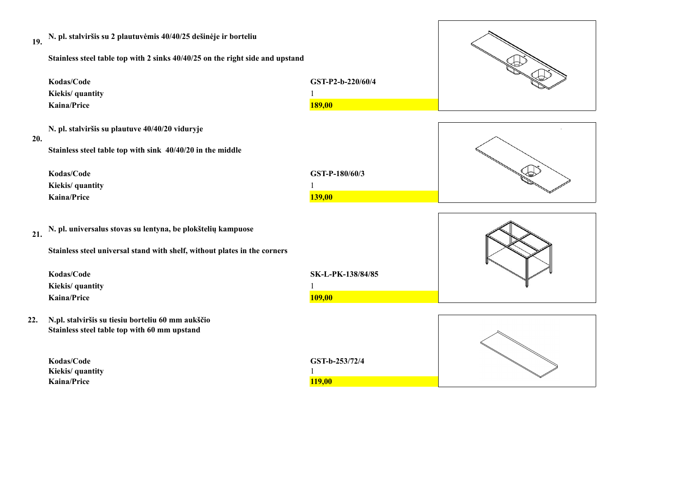| 19.<br>Kodas/Code<br>Kiekis/ quantity<br><b>Kaina/Price</b> | N. pl. stalviršis su 2 plautuvėmis 40/40/25 dešinėje ir borteliu<br>Stainless steel table top with 2 sinks 40/40/25 on the right side and upstand | GST-P2-b-220/60/4<br><b>189,00</b> |  |
|-------------------------------------------------------------|---------------------------------------------------------------------------------------------------------------------------------------------------|------------------------------------|--|
| 20.<br>Kodas/Code<br>Kiekis/ quantity<br><b>Kaina/Price</b> | N. pl. stalviršis su plautuve 40/40/20 viduryje<br>Stainless steel table top with sink 40/40/20 in the middle                                     | GST-P-180/60/3<br><b>139,00</b>    |  |
| 21.<br>Kodas/Code<br>Kiekis/ quantity<br><b>Kaina/Price</b> | N. pl. universalus stovas su lentyna, be plokštelių kampuose<br>Stainless steel universal stand with shelf, without plates in the corners         | SK-L-PK-138/84/85<br>109,00        |  |
| 22.<br>Kodas/Code<br>Kiekis/ quantity<br>Kaina/Price        | N.pl. stalviršis su tiesiu borteliu 60 mm aukščio<br>Stainless steel table top with 60 mm upstand                                                 | GST-b-253/72/4<br><b>119,00</b>    |  |